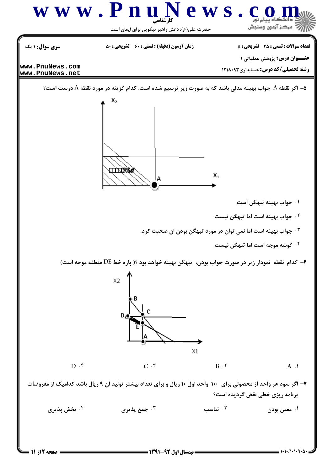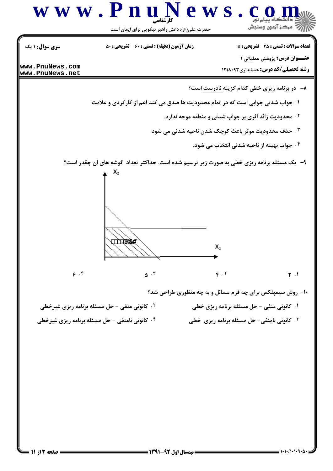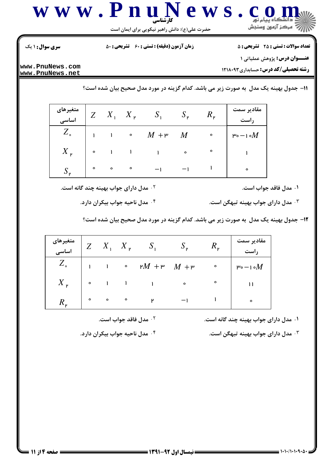

حضرت علی(ع): دانش راهبر نیکویی برای ایمان است

**تعداد سوالات : تستي : 25 - تشريحي : 5** 

**زمان آزمون (دقیقه) : تستی : 60 تشریحی : 50** 

**سری سوال : ۱ یک** 

**عنــوان درس:** پژوهش عملیاتی ۱

**رشته تحصیلی/کد درس:** حسابداری1۲۱۸۰۹۳

www.PnuNews.com www.PnuNews.net

11- جدول بهينه يک مدل به صورت زير مي باشد. کدام گزينه در مورد مدل صحيح بيان شده است؟

| متغیرهای<br>اساسی |           |                     | $X_1$ $X_2$ $S_1$ $S_2$ |           | $R_{\rm p}$ | مقادیر سمت<br><b>راست</b> |
|-------------------|-----------|---------------------|-------------------------|-----------|-------------|---------------------------|
| $Z_{\circ}$       |           | $1 \quad 1 \quad 0$ | $M + P$                 | M         | $\circ$     | ۳۰ $-$ ۱۰ $M$             |
| $X_{\nu}$         | $\bullet$ | $\sim$ 1 $\sim$ 1   | $\sim 1$ , $\sim$       | $\bullet$ | $\circ$     | $\mathbf{1}$              |
|                   | $\circ$   | $\circ$ $\circ$     |                         |           |             | $\bullet$                 |

۰۱ مدل فاقد جواب است.

۰۲ مدل دارای جواب بهینه چند گانه است.

۰<sup>۳</sup> مدل دارای جواب بهینه تبهگن است.

۰۴ مدل ناحیه جواب بیکران دارد.

۱۲- جدول بهینه یک مدل ً به صورت زیر می باشد. کدام گزینه در مورد مدل صحیح بیان شده است؟

| متغیرهای<br>اساسی |                         | $Z$ $X_1$ $X_2$ $S_1$ $S_2$                                                                                                                                                                                                                                                                                                                 | $R_{\rm p}$ | مقادیر سمت      |
|-------------------|-------------------------|---------------------------------------------------------------------------------------------------------------------------------------------------------------------------------------------------------------------------------------------------------------------------------------------------------------------------------------------|-------------|-----------------|
| $Z_{\circ}$       |                         | $1 \quad 1 \quad \circ \quad \mathsf{M} + \mathsf{P} \quad M + \mathsf{P}$                                                                                                                                                                                                                                                                  | $\bullet$   | ۳۰ $-$ ۱۰ $M$   |
| $X_{\nu}$         |                         | $\circ$ $\qquad$ $\qquad$ $\qquad$ $\qquad$ $\qquad$ $\qquad$ $\qquad$ $\qquad$ $\qquad$ $\qquad$ $\qquad$ $\qquad$ $\qquad$ $\qquad$ $\qquad$ $\qquad$ $\qquad$ $\qquad$ $\qquad$ $\qquad$ $\qquad$ $\qquad$ $\qquad$ $\qquad$ $\qquad$ $\qquad$ $\qquad$ $\qquad$ $\qquad$ $\qquad$ $\qquad$ $\qquad$ $\qquad$ $\qquad$ $\qquad$ $\qquad$ | $\circ$     | $\overline{11}$ |
| $R_{\nu}$         | $\circ$ $\circ$ $\circ$ | $\mathbf{r}$                                                                                                                                                                                                                                                                                                                                |             | $\bullet$       |

۰۱ مدل دارای جواب بهینه چند گانه است.

هدل دارای جواب بهینه تبهگن است.  $^\mathrm{v}$ 

۰<sup>۲</sup> مدل فاقد جواب است.

۰۴ مدل ناحیه جواب بیکران دارد.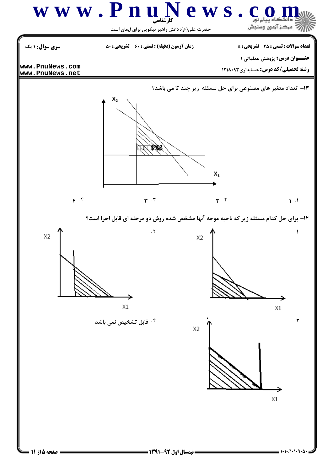

**= نیمسال اول 92-1391 =** 

**6 صفحه 5 از 11 =**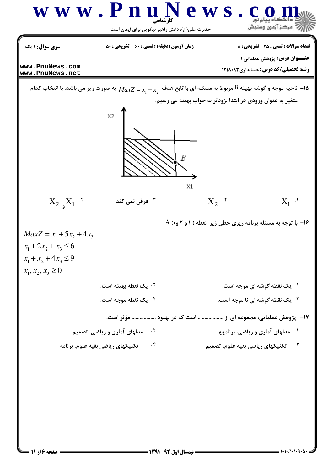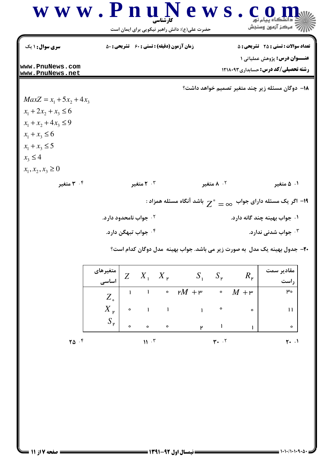

حضرت علی(ع): دانش راهبر نیکویی برای ایمان است

| <b>سری سوال : ۱ یک</b>               | <b>زمان آزمون (دقیقه) : تستی : 60 گشریحی : 50</b> | <b>تعداد سوالات : تستي : 25 - تشريحي : 5</b> |
|--------------------------------------|---------------------------------------------------|----------------------------------------------|
|                                      |                                                   | <b>عنـــوان درس:</b> پژوهش عملیاتی ۱         |
| lwww.PnuNews.com<br>lwww.PnuNews.net |                                                   | <b>رشته تحصیلی/کد درس:</b> حسابداری1۲۱۸۰۹۳   |
|                                      |                                                   |                                              |

۰<sup>۲</sup> جواب نامحدود دارد.

18− دوگان مسئله زیر چند متغیر تصمیم خواهد داشت؟

 $MaxZ = x_1 + 5x_2 + 4x_3$  $x_1 + 2x_2 + x_3 \le 6$  $x_1 + x_2 + 4x_3 \leq 9$  $x_1 + x_3 \le 6$  $x_1 + x_3 \leq 5$  $x_3 \leq 4$  $x_1, x_2, x_3 \ge 0$ ۰۴ متغیر

۰۳ متغیر ۰<sup>۲</sup> ۸ متغیر ۰۱ ه متغیر

۱۹ - اگر یک مسئله دارای جواب  $\alpha= \infty$  باشد آنگاه مسئله همزاد $\cdot$ 

- ۰۱ جواب بهينه چند گانه دارد.
- ۰۴ جواب تبهگن دارد. جواب شدنی ندارد.  $\cdot$

۲۰– جدول بهینه یک مدل به صورت زیر می باشد. جواب بهینه ًمدل دوگان کدام است؟

|                     |           |                 | $Z \, X_1 \, X_2$ | $S_1$ $S_{\nu}$   |           | $R_{\nu}$                | مقا<br>دىر سمت |
|---------------------|-----------|-----------------|-------------------|-------------------|-----------|--------------------------|----------------|
| متغیرهای<br>  اساسی |           |                 |                   |                   |           |                          |                |
| $Z_{\circ}$         |           |                 |                   | $\circ$ $M + \mu$ |           | $\circ$ $M + \mathsf{m}$ | $\mu_{o}$      |
| $X_{\nu}$           | $\bullet$ | $\sim 1$        |                   | $\sim 1$ .        | $\bullet$ | $\bullet$                |                |
| $S_{\nu}$           | $\circ$   | $\circ$         | $\bullet$         | μ                 |           |                          | $\circ$        |
|                     |           | $\cdot$ $\cdot$ |                   |                   | ۲۰ ۲۰     |                          | $\cdot$ :      |

٢۵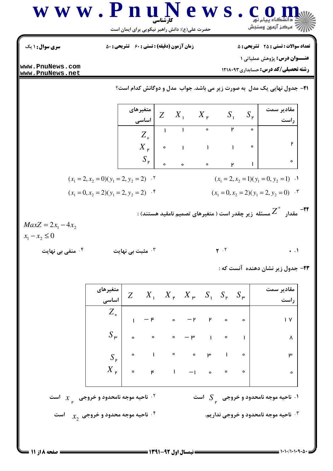| W W W . P                                                                                                                                                                                                                                                                                                                                                                                                                                                                                                                                                                                                                                                                                                                                                                                                                                                                                                                                                                                                                                                                 | W L | W L | W L | W L | W L | W L | W L | W L | W L | W L | W L |
|---------------------------------------------------------------------------------------------------------------------------------------------------------------------------------------------------------------------------------------------------------------------------------------------------------------------------------------------------------------------------------------------------------------------------------------------------------------------------------------------------------------------------------------------------------------------------------------------------------------------------------------------------------------------------------------------------------------------------------------------------------------------------------------------------------------------------------------------------------------------------------------------------------------------------------------------------------------------------------------------------------------------------------------------------------------------------|-----|-----|-----|-----|-----|-----|-----|-----|-----|-----|-----|
| \n $\int_{\frac{S_{n+1}}{2} \int_{\frac{S_{n+1}}{2} \int_{\frac{S_{n+1}}{2} \int_{\frac{S_{n+1}}{2} \int_{\frac{S_{n+1}}{2} \int_{\frac{S_{n+1}}{2} \int_{\frac{S_{n+1}}{2} \int_{\frac{S_{n+1}}{2} \int_{\frac{S_{n+1}}{2} \int_{\frac{S_{n+1}}{2} \int_{\frac{S_{n+1}}{2} \int_{\frac{S_{n+1}}{2} \int_{\frac{S_{n+1}}{2} \int_{\frac{S_{n+1}}{2} \int_{\frac{S_{n+1}}{2} \int_{\frac{S_{n+1}}{2} \int_{\frac{S_{n+1}}{2} \int_{\frac{S_{n+1}}{2} \int_{\frac{S_{n+1}}{2} \int_{\frac{S_{n+1}}{2} \int_{\frac{S_{n+1}}{2} \int_{\frac{S_{n+1}}{2} \int_{\frac{S_{n+1}}{2} \int_{\frac{S_{n+1}}{2} \int_{\frac{S_{n+1}}{2} \int_{\frac{S_{n+1}}{2} \int_{\frac{S_{n+1}}{2} \int_{\frac{S_{n+1}}{2} \int_{\frac{S_{n+1}}{2} \int_{\frac{S_{n+1}}{2} \int_{\frac{S_{n+1}}{2} \int_{\frac{S_{n+1}}{2} \int_{\frac{S_{n+1}}{2} \int_{\frac{S_{n+1}}{2} \int_{\frac{S_{n+1}}{2} \int_{\frac{S_{n+1}}{2} \int_{\frac{S_{n+1}}{2} \int_{\frac{S_{n+1}}{2} \int_{\frac{S_{n+1}}{2} \int_{\frac{S_{n+1}}{2} \int_{\frac{S_{n+1}}{2} \int_{\frac{S_{n+1}}{2} \int_{\frac{S_{n+1}}$ |     |     |     |     |     |     |     |     |     |     |     |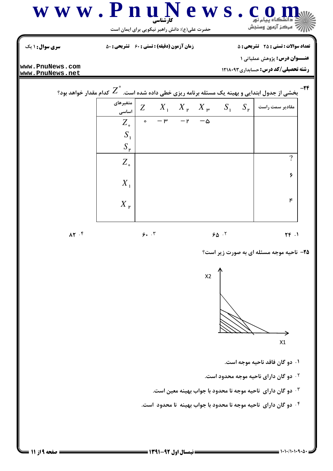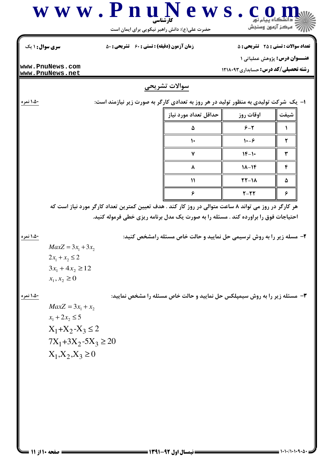

حضرت علی(ع): دانش راهبر نیکویی برای ایمان است

تعداد سوالات : تستي : 25 تشريحي : 5

**رشته تحصیلی/کد درس:** حسابداری ۱۲۱۸۰۹۳

**عنــوان درس:** پژوهش عملیاتی ۱

**زمان آزمون (دقیقه) : تستی : 60 تشریحی : 50** 

**سری سوال : ۱ یک** 

www.PnuNews.com www.PnuNews.net

## سوالات تشريحي

۱،۵۰ نمره

۱،۵۰ نمره

۱،۵۰ نمره

ا– یک شرکت تولیدی به منظور تولید در هر روز به تعدادی کارگر به صورت زیر نیازمند است:

| حداقل تعداد مورد نياز | اوقات روز                   | شيفت |
|-----------------------|-----------------------------|------|
| ۵                     | $9 - 7$                     |      |
|                       | $\mathcal{N} - \mathcal{F}$ |      |
|                       | $1F-1$                      |      |
|                       | $1 - 16$                    | €    |
| ١١                    | $YY-1A$                     | ۵    |
|                       | $Y-YY$                      | c    |

هر کارگر در روز می تواند ۸ ساعت متوالی در روز کار کند . هدف تعیین کمترین تعداد کارگر مورد نیاز است که احتیاجات فوق را براورده کند . مسئله را به صورت یک مدل برنامه ریزی خطی فرموله کنید.

۲- مسله زیر را به روش ترسیمی حل نمایید و حالت خاص مسئله رامشخص کنید:

 $MaxZ = 3x_1 + 3x_2$  $2x_1 + x_2 \leq 2$  $3x_1 + 4x_2 \ge 12$  $x_1, x_2 \geq 0$ 

۳- مسئله زیر را به روش سیمپلکس حل نمایید و حالت خاص مسئله را مشخص نمایید:

 $MaxZ = 3x_1 + x_2$  $x_1 + 2x_2 \leq 5$  $X_1+X_2-X_3\leq 2$  $7X_1 + 3X_2 - 5X_3 \ge 20$  $X_1, X_2, X_3 \geq 0$